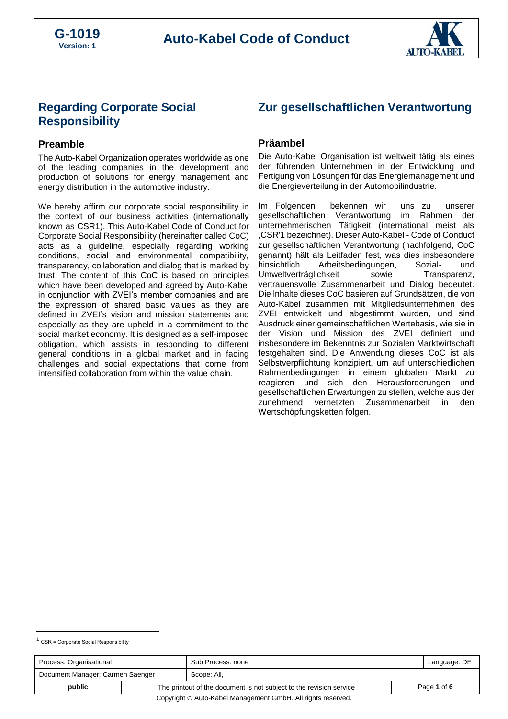

# **Regarding Corporate Social Responsibility**

## **Preamble**

The Auto-Kabel Organization operates worldwide as one of the leading companies in the development and production of solutions for energy management and energy distribution in the automotive industry.

We hereby affirm our corporate social responsibility in the context of our business activities (internationally known as CSR1). This Auto-Kabel Code of Conduct for Corporate Social Responsibility (hereinafter called CoC) acts as a guideline, especially regarding working conditions, social and environmental compatibility, transparency, collaboration and dialog that is marked by trust. The content of this CoC is based on principles which have been developed and agreed by Auto-Kabel in conjunction with ZVEI's member companies and are the expression of shared basic values as they are defined in ZVEI's vision and mission statements and especially as they are upheld in a commitment to the social market economy. It is designed as a self-imposed obligation, which assists in responding to different general conditions in a global market and in facing challenges and social expectations that come from intensified collaboration from within the value chain.

# **Zur gesellschaftlichen Verantwortung**

## **Präambel**

Die Auto-Kabel Organisation ist weltweit tätig als eines der führenden Unternehmen in der Entwicklung und Fertigung von Lösungen für das Energiemanagement und die Energieverteilung in der Automobilindustrie.

Im Folgenden bekennen wir uns zu unserer gesellschaftlichen Verantwortung im Rahmen der unternehmerischen Tätigkeit (international meist als ,CSR'1 bezeichnet). Dieser Auto-Kabel - Code of Conduct zur gesellschaftlichen Verantwortung (nachfolgend, CoC genannt) hält als Leitfaden fest, was dies insbesondere hinsichtlich Arbeitsbedingungen, Sozial- und<br>Umweltverträglichkeit sowie Transparenz, Umweltverträglichkeit sowie vertrauensvolle Zusammenarbeit und Dialog bedeutet. Die lnhalte dieses CoC basieren auf Grundsätzen, die von Auto-Kabel zusammen mit Mitgliedsunternehmen des ZVEI entwickelt und abgestimmt wurden, und sind Ausdruck einer gemeinschaftlichen Wertebasis, wie sie in der Vision und Mission des ZVEI definiert und insbesondere im Bekenntnis zur Sozialen Marktwirtschaft festgehalten sind. Die Anwendung dieses CoC ist als Selbstverpflichtung konzipiert, um auf unterschiedlichen Rahmenbedingungen in einem globalen Markt zu reagieren und sich den Herausforderungen und gesellschaftlichen Erwartungen zu stellen, welche aus der zunehmend vernetzten Zusammenarbeit in den Wertschöpfungsketten folgen.

| Process: Organisational                                      |                                                                     | Sub Process: none |  | Language: DE |
|--------------------------------------------------------------|---------------------------------------------------------------------|-------------------|--|--------------|
| Document Manager: Carmen Saenger                             |                                                                     | Scope: All.       |  |              |
| public                                                       | The printout of the document is not subject to the revision service |                   |  | Page 1 of 6  |
| Copyright © Auto-Kabel Management GmbH. All rights reserved. |                                                                     |                   |  |              |

 $1$  CSR = Corporate Social Responsibility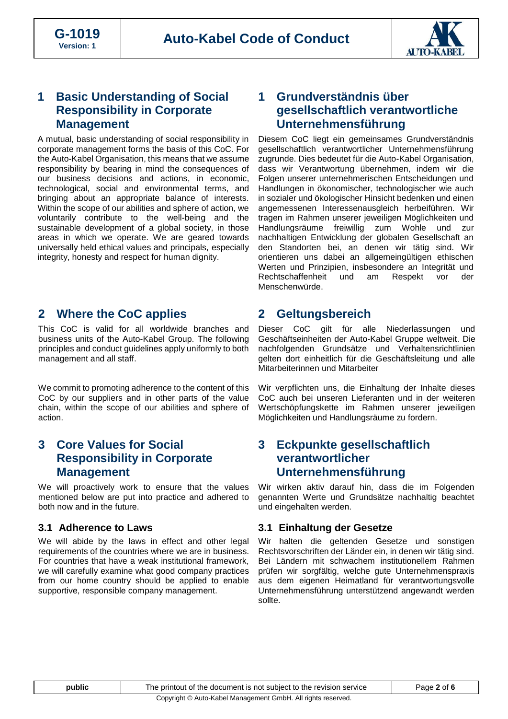

# **1 Basic Understanding of Social Responsibility in Corporate Management**

A mutual, basic understanding of social responsibility in corporate management forms the basis of this CoC. For the Auto-Kabel Organisation, this means that we assume responsibility by bearing in mind the consequences of our business decisions and actions, in economic, technological, social and environmental terms, and bringing about an appropriate balance of interests. Within the scope of our abilities and sphere of action, we voluntarily contribute to the well-being and the sustainable development of a global society, in those areas in which we operate. We are geared towards universally held ethical values and principals, especially integrity, honesty and respect for human dignity.

# **2 Where the CoC applies**

This CoC is valid for all worldwide branches and business units of the Auto-Kabel Group. The following principles and conduct guidelines apply uniformly to both management and all staff.

We commit to promoting adherence to the content of this CoC by our suppliers and in other parts of the value chain, within the scope of our abilities and sphere of action.

# **3 Core Values for Social Responsibility in Corporate Management**

We will proactively work to ensure that the values mentioned below are put into practice and adhered to both now and in the future.

# **3.1 Adherence to Laws**

We will abide by the laws in effect and other legal requirements of the countries where we are in business. For countries that have a weak institutional framework, we will carefully examine what good company practices from our home country should be applied to enable supportive, responsible company management.

# **1 Grundverständnis über gesellschaftlich verantwortliche Unternehmensführung**

Diesem CoC liegt ein gemeinsames Grundverständnis gesellschaftlich verantwortlicher Unternehmensführung zugrunde. Dies bedeutet für die Auto-Kabel Organisation, dass wir Verantwortung übernehmen, indem wir die Folgen unserer unternehmerischen Entscheidungen und Handlungen in ökonomischer, technologischer wie auch in sozialer und ökologischer Hinsicht bedenken und einen angemessenen Interessenausgleich herbeiführen. Wir tragen im Rahmen unserer jeweiligen Möglichkeiten und Handlungsräume freiwillig zum Wohle und zur nachhaltigen Entwicklung der globalen Gesellschaft an den Standorten bei, an denen wir tätig sind. Wir orientieren uns dabei an allgemeingültigen ethischen Werten und Prinzipien, insbesondere an Integrität und Rechtschaffenheit und am Respekt vor der Menschenwürde.

# **2 Geltungsbereich**

Dieser CoC gilt für alle Niederlassungen und Geschäftseinheiten der Auto-Kabel Gruppe weltweit. Die nachfolgenden Grundsätze und Verhaltensrichtlinien gelten dort einheitlich für die Geschäftsleitung und alle Mitarbeiterinnen und Mitarbeiter

Wir verpflichten uns, die Einhaltung der Inhalte dieses CoC auch bei unseren Lieferanten und in der weiteren Wertschöpfungskette im Rahmen unserer jeweiligen Möglichkeiten und Handlungsräume zu fordern.

# **3 Eckpunkte gesellschaftlich verantwortlicher Unternehmensführung**

Wir wirken aktiv darauf hin, dass die im Folgenden genannten Werte und Grundsätze nachhaltig beachtet und eingehalten werden.

# **3.1 Einhaltung der Gesetze**

Wir halten die geltenden Gesetze und sonstigen Rechtsvorschriften der Länder ein, in denen wir tätig sind. Bei Ländern mit schwachem institutionellem Rahmen prüfen wir sorgfältig, welche gute Unternehmenspraxis aus dem eigenen Heimatland für verantwortungsvolle Unternehmensführung unterstützend angewandt werden sollte.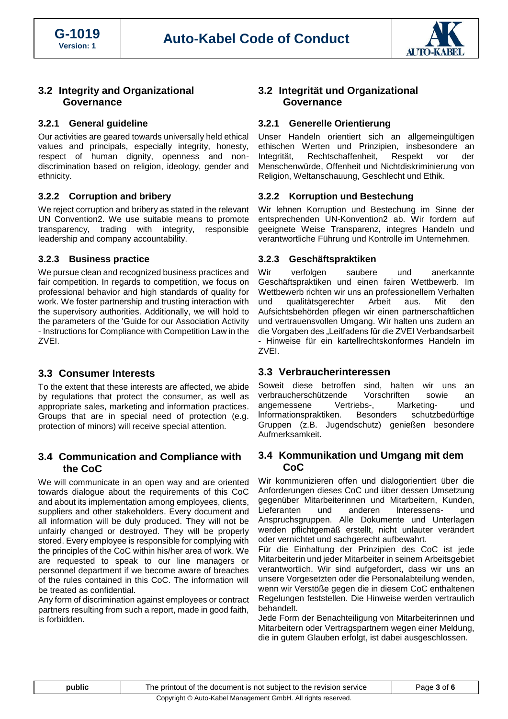

## **3.2 Integrity and Organizational Governance**

#### **3.2.1 General guideline**

Our activities are geared towards universally held ethical values and principals, especially integrity, honesty, respect of human dignity, openness and nondiscrimination based on religion, ideology, gender and ethnicity.

#### **3.2.2 Corruption and bribery**

We reject corruption and bribery as stated in the relevant UN Convention2. We use suitable means to promote transparency, trading with integrity, responsible leadership and company accountability.

#### **3.2.3 Business practice**

We pursue clean and recognized business practices and fair competition. In regards to competition, we focus on professional behavior and high standards of quality for work. We foster partnership and trusting interaction with the supervisory authorities. Additionally, we will hold to the parameters of the 'Guide for our Association Activity - Instructions for Compliance with Competition Law in the ZVEI.

# **3.3 Consumer Interests**

To the extent that these interests are affected, we abide by regulations that protect the consumer, as well as appropriate sales, marketing and information practices. Groups that are in special need of protection (e.g. protection of minors) will receive special attention.

## **3.4 Communication and Compliance with the CoC**

We will communicate in an open way and are oriented towards dialogue about the requirements of this CoC and about its implementation among employees, clients, suppliers and other stakeholders. Every document and all information will be duly produced. They will not be unfairly changed or destroyed. They will be properly stored. Every employee is responsible for complying with the principles of the CoC within his/her area of work. We are requested to speak to our line managers or personnel department if we become aware of breaches of the rules contained in this CoC. The information will be treated as confidential.

Any form of discrimination against employees or contract partners resulting from such a report, made in good faith, is forbidden.

# **3.2 Integrität und Organizational Governance**

#### **3.2.1 Generelle Orientierung**

Unser Handeln orientiert sich an allgemeingültigen ethischen Werten und Prinzipien, insbesondere an Integrität, Rechtschaffenheit, Respekt vor der Menschenwürde, Offenheit und Nichtdiskriminierung von Religion, Weltanschauung, Geschlecht und Ethik.

#### **3.2.2 Korruption und Bestechung**

Wir lehnen Korruption und Bestechung im Sinne der entsprechenden UN-Konvention2 ab. Wir fordern auf geeignete Weise Transparenz, integres Handeln und verantwortliche Führung und Kontrolle im Unternehmen.

#### **3.2.3 Geschäftspraktiken**

Wir verfolgen saubere und anerkannte Geschäftspraktiken und einen fairen Wettbewerb. Im Wettbewerb richten wir uns an professionellem Verhalten und qualitätsgerechter Arbeit aus. Mit den Aufsichtsbehörden pflegen wir einen partnerschaftlichen und vertrauensvollen Umgang. Wir halten uns zudem an die Vorgaben des "Leitfadens für die ZVEI Verbandsarbeit - Hinweise für ein kartellrechtskonformes Handeln im ZVEI.

# **3.3 Verbraucherinteressen**

Soweit diese betroffen sind, halten wir uns an verbraucherschützende Vorschriften sowie an angemessene Vertriebs-, Marketing- und lnformationspraktiken. Besonders schutzbedürftige Gruppen (z.B. Jugendschutz) genießen besondere Aufmerksamkeit.

## **3.4 Kommunikation und Umgang mit dem CoC**

Wir kommunizieren offen und dialogorientiert über die Anforderungen dieses CoC und über dessen Umsetzung gegenüber Mitarbeiterinnen und Mitarbeitern, Kunden, Lieferanten und anderen lnteressens- und Anspruchsgruppen. Alle Dokumente und Unterlagen werden pflichtgemäß erstellt, nicht unlauter verändert oder vernichtet und sachgerecht aufbewahrt.

Für die Einhaltung der Prinzipien des CoC ist jede Mitarbeiterin und jeder Mitarbeiter in seinem Arbeitsgebiet verantwortlich. Wir sind aufgefordert, dass wir uns an unsere Vorgesetzten oder die Personalabteilung wenden, wenn wir Verstöße gegen die in diesem CoC enthaltenen Regelungen feststellen. Die Hinweise werden vertraulich behandelt.

Jede Form der Benachteiligung von Mitarbeiterinnen und Mitarbeitern oder Vertragspartnern wegen einer Meldung, die in gutem Glauben erfolgt, ist dabei ausgeschlossen.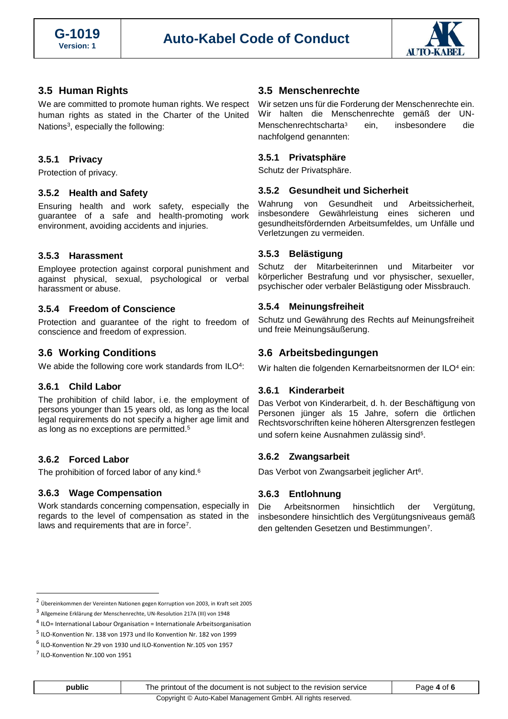

## **3.5 Human Rights**

We are committed to promote human rights. We respect human rights as stated in the Charter of the United Nations<sup>3</sup>, especially the following:

#### **3.5.1 Privacy**

Protection of privacy.

#### **3.5.2 Health and Safety**

Ensuring health and work safety, especially the guarantee of a safe and health-promoting work environment, avoiding accidents and injuries.

#### **3.5.3 Harassment**

Employee protection against corporal punishment and against physical, sexual, psychological or verbal harassment or abuse.

#### **3.5.4 Freedom of Conscience**

Protection and guarantee of the right to freedom of conscience and freedom of expression.

## **3.6 Working Conditions**

We abide the following core work standards from ILO<sup>4</sup>:

#### **3.6.1 Child Labor**

The prohibition of child labor, i.e. the employment of persons younger than 15 years old, as long as the local legal requirements do not specify a higher age limit and as long as no exceptions are permitted.<sup>5</sup>

#### **3.6.2 Forced Labor**

The prohibition of forced labor of any kind.<sup>6</sup>

#### **3.6.3 Wage Compensation**

Work standards concerning compensation, especially in regards to the level of compensation as stated in the laws and requirements that are in force<sup>7</sup>.

#### **3.5 Menschenrechte**

Wir setzen uns für die Forderung der Menschenrechte ein. Wir halten die Menschenrechte gemäß der UN-Menschenrechtscharta<sup>3</sup> ein, insbesondere die nachfolgend genannten:

#### **3.5.1 Privatsphäre**

Schutz der Privatsphäre.

#### **3.5.2 Gesundheit und Sicherheit**

Wahrung von Gesundheit und Arbeitssicherheit, insbesondere Gewährleistung eines sicheren und gesundheitsfördernden Arbeitsumfeldes, um Unfälle und Verletzungen zu vermeiden.

#### **3.5.3 Belästigung**

Schutz der Mitarbeiterinnen und Mitarbeiter vor körperlicher Bestrafung und vor physischer, sexueller, psychischer oder verbaler Belästigung oder Missbrauch.

#### **3.5.4 Meinungsfreiheit**

Schutz und Gewährung des Rechts auf Meinungsfreiheit und freie Meinungsäußerung.

## **3.6 Arbeitsbedingungen**

Wir halten die folgenden Kernarbeitsnormen der ILO<sup>4</sup> ein:

#### **3.6.1 Kinderarbeit**

Das Verbot von Kinderarbeit, d. h. der Beschäftigung von Personen jünger als 15 Jahre, sofern die örtlichen Rechtsvorschriften keine höheren Altersgrenzen festlegen und sofern keine Ausnahmen zulässig sind<sup>5</sup>.

#### **3.6.2 Zwangsarbeit**

Das Verbot von Zwangsarbeit jeglicher Art<sup>6</sup>.

#### **3.6.3 Entlohnung**

Die Arbeitsnormen hinsichtlich der Vergütung, insbesondere hinsichtlich des Vergütungsniveaus gemäß den geltenden Gesetzen und Bestimmungen<sup>7</sup>.

<sup>2</sup> Übereinkommen der Vereinten Nationen gegen Korruption von 2003, in Kraft seit 2005

<sup>3</sup> Allgemeine Erklärung der Menschenrechte, UN-Resolution 217A (III) von 1948

<sup>4</sup> ILO= International Labour Organisation = Internationale Arbeitsorganisation

<sup>&</sup>lt;sup>5</sup> ILO-Konvention Nr. 138 von 1973 und Ilo Konvention Nr. 182 von 1999

<sup>6</sup> ILO-Konvention Nr.29 von 1930 und ILO-Konvention Nr.105 von 1957

<sup>&</sup>lt;sup>7</sup> ILO-Konvention Nr.100 von 1951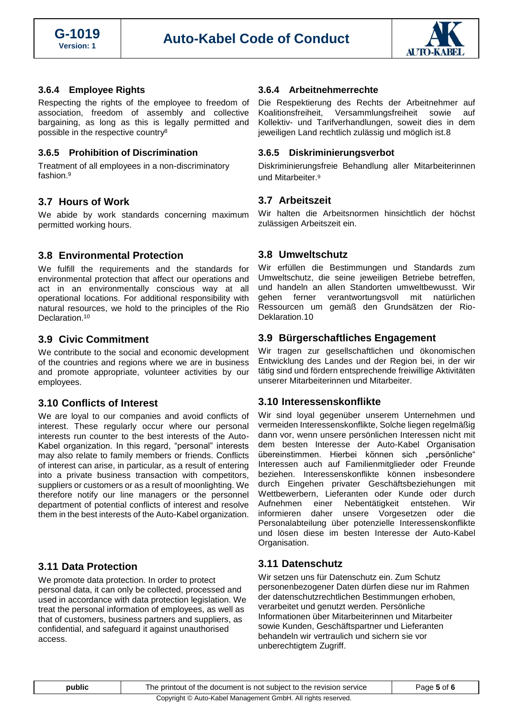

### **3.6.4 Employee Rights**

Respecting the rights of the employee to freedom of association, freedom of assembly and collective bargaining, as long as this is legally permitted and possible in the respective country<sup>8</sup>

#### **3.6.5 Prohibition of Discrimination**

Treatment of all employees in a non-discriminatory fashion. 9

# **3.7 Hours of Work**

We abide by work standards concerning maximum permitted working hours.

## **3.8 Environmental Protection**

We fulfill the requirements and the standards for environmental protection that affect our operations and act in an environmentally conscious way at all operational locations. For additional responsibility with natural resources, we hold to the principles of the Rio Declaration.<sup>10</sup>

## **3.9 Civic Commitment**

We contribute to the social and economic development of the countries and regions where we are in business and promote appropriate, volunteer activities by our employees.

#### **3.10 Conflicts of Interest**

We are loyal to our companies and avoid conflicts of interest. These regularly occur where our personal interests run counter to the best interests of the Auto-Kabel organization. In this regard, "personal" interests may also relate to family members or friends. Conflicts of interest can arise, in particular, as a result of entering into a private business transaction with competitors, suppliers or customers or as a result of moonlighting. We therefore notify our line managers or the personnel department of potential conflicts of interest and resolve them in the best interests of the Auto-Kabel organization.

# **3.11 Data Protection**

We promote data protection. In order to protect personal data, it can only be collected, processed and used in accordance with data protection legislation. We treat the personal information of employees, as well as that of customers, business partners and suppliers, as confidential, and safeguard it against unauthorised access.

#### **3.6.4 Arbeitnehmerrechte**

Die Respektierung des Rechts der Arbeitnehmer auf Koalitionsfreiheit, Versammlungsfreiheit sowie auf Kollektiv- und Tarifverhandlungen, soweit dies in dem jeweiligen Land rechtlich zulässig und möglich ist.8

#### **3.6.5 Diskriminierungsverbot**

Diskriminierungsfreie Behandlung aller Mitarbeiterinnen und Mitarbeiter.<sup>9</sup>

# **3.7 Arbeitszeit**

Wir halten die Arbeitsnormen hinsichtlich der höchst zulässigen Arbeitszeit ein.

## **3.8 Umweltschutz**

Wir erfüllen die Bestimmungen und Standards zum Umweltschutz, die seine jeweiligen Betriebe betreffen, und handeln an allen Standorten umweltbewusst. Wir gehen ferner verantwortungsvoll mit natürlichen Ressourcen um gemäß den Grundsätzen der Rio-Deklaration.10

## **3.9 Bürgerschaftliches Engagement**

Wir tragen zur gesellschaftlichen und ökonomischen Entwicklung des Landes und der Region bei, in der wir tätig sind und fördern entsprechende freiwillige Aktivitäten unserer Mitarbeiterinnen und Mitarbeiter.

#### **3.10 Interessenskonflikte**

Wir sind loyal gegenüber unserem Unternehmen und vermeiden Interessenskonflikte, Solche liegen regelmäßig dann vor, wenn unsere persönlichen Interessen nicht mit dem besten Interesse der Auto-Kabel Organisation übereinstimmen. Hierbei können sich "persönliche" Interessen auch auf Familienmitglieder oder Freunde beziehen. Interessenskonflikte können insbesondere durch Eingehen privater Geschäftsbeziehungen mit Wettbewerbern, Lieferanten oder Kunde oder durch Aufnehmen einer Nebentätigkeit entstehen. Wir informieren daher unsere Vorgesetzen oder die Personalabteilung über potenzielle Interessenskonflikte und lösen diese im besten Interesse der Auto-Kabel Organisation.

# **3.11 Datenschutz**

Wir setzen uns für Datenschutz ein. Zum Schutz personenbezogener Daten dürfen diese nur im Rahmen der datenschutzrechtlichen Bestimmungen erhoben, verarbeitet und genutzt werden. Persönliche Informationen über Mitarbeiterinnen und Mitarbeiter sowie Kunden, Geschäftspartner und Lieferanten behandeln wir vertraulich und sichern sie vor unberechtigtem Zugriff.